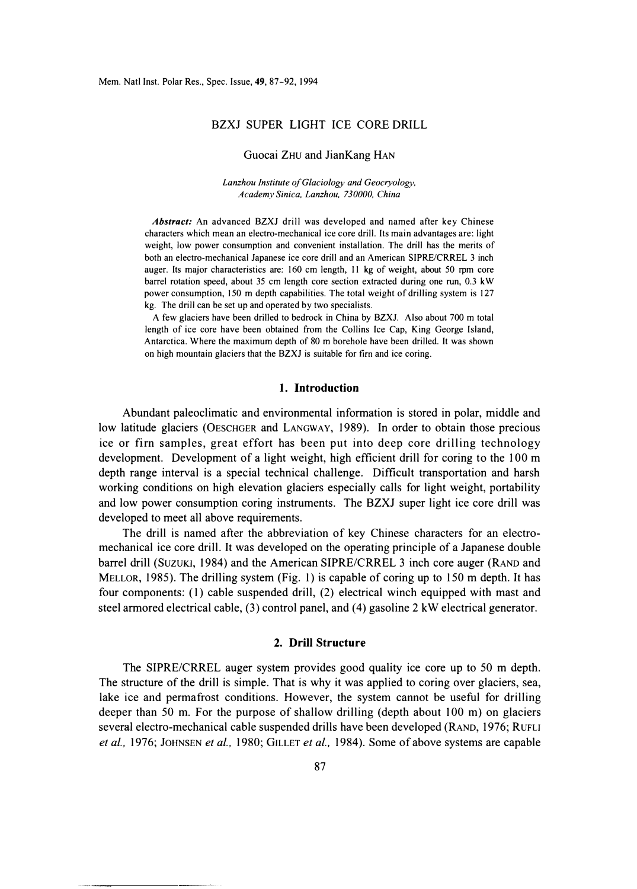# BZXJ SUPER LIGHT ICE CORE DRILL

#### Guocai ZHU and JianKang HAN

*Lanzhou Institute of Glaciology and Geocryology, Academy Sinica, Lanzhou, 730000, China* 

*Abstract:* An advanced BZXJ drill was developed and named after key Chinese characters which mean an electro-mechanical ice core drill. Its main advantages are: light weight, low power consumption and convenient installation. The drill has the merits of both an electro-mechanical Japanese ice core drill and an American SIPRE/CRREL 3 inch auger. Its major characteristics are: 160 cm length, 11 kg of weight, about 50 rpm core barrel rotation speed, about 35 cm length core section extracted during one run, 0.3 kW power consumption, 150 m depth capabilities. The total weight of drilling system is 127 kg. The drill can be set up and operated by two specialists.

A few glaciers have been drilled to bedrock in China by BZXJ. Also about 700 m total length of ice core have been obtained from the Collins Ice Cap, King George Island, Antarctica. Where the maximum depth of 80 m borehole have been drilled. It was shown on high mountain glaciers that the BZXJ is suitable for firn and ice coring.

#### **1. Introduction**

Abundant paleoclimatic and environmental information is stored in polar, middle and low latitude glaciers (OESCHGER and LANGWAY, 1989). In order to obtain those precious ice or firn samples, great effort has been put into deep core drilling technology development. Development of a light weight, high efficient drill for coring to the 100 m depth range interval is a special technical challenge. Difficult transportation and harsh working conditions on high elevation glaciers especially calls for light weight, portability and low power consumption coring instruments. The BZXJ super light ice core drill was developed to meet all above requirements.

The drill is named after the abbreviation of key Chinese characters for an electromechanical ice core drill. It was developed on the operating principle of a Japanese double barrel drill (SUZUKI, 1984) and the American SIPRE/CRREL 3 inch core auger (RAND and MELLOR, 1985). The drilling system (Fig. 1) is capable of coring up to 150 m depth. It has four components: (1) cable suspended drill, (2) electrical winch equipped with mast and steel armored electrical cable, (3) control panel, and (4) gasoline 2 kW electrical generator.

# **2. Drill Structure**

The SIPRE/CRREL auger system provides good quality ice core up to 50 m depth. The structure of the drill is simple. That is why it was applied to coring over glaciers, sea, lake ice and permafrost conditions. However, the system cannot be useful for drilling deeper than 50 m. For the purpose of shallow drilling (depth about 100 m) on glaciers several electro-mechanical cable suspended drills have been developed (RAND, 1976; RuFu *et al.,* 1976; JOHNSEN *et al.,* 1980; GILLET *et al.,* 1984 ). Some of above systems are capable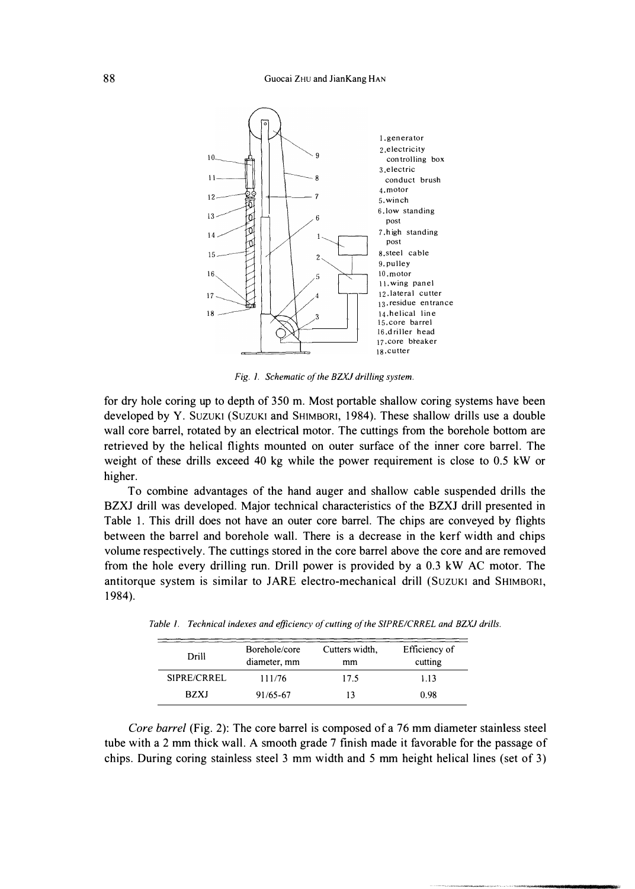#### Guocai ZHU and JianKang HAN



*Fig. 1. Schematic of the BZXJ drilling system.* 

for dry hole coring up to depth of 350 m. Most portable shallow coring systems have been developed by Y. SUZUKI (SUZUKI and SHIMBORI, 1984). These shallow drills use a double wall core barrel, rotated by an electrical motor. The cuttings from the borehole bottom are retrieved by the helical flights mounted on outer surface of the inner core barrel. The weight of these drills exceed 40 kg while the power requirement is close to 0.5 kW or higher.

To combine advantages of the hand auger and shallow cable suspended drills the BZXJ drill was developed. Major technical characteristics of the BZXJ drill presented in Table 1. This drill does not have an outer core barrel. The chips are conveyed by flights between the barrel and borehole wall. There is a decrease in the kerf width and chips volume respectively. The cuttings stored in the core barrel above the core and are removed from the hole every drilling run. Drill power is provided by a 0.3 kW AC motor. The antitorque system is similar to JARE electro-mechanical drill (SUZUKI and SHIMBORI, 1984).

| Drill       | Borehole/core<br>diameter, mm | Cutters width,<br>mm | Efficiency of<br>cutting |
|-------------|-------------------------------|----------------------|--------------------------|
| SIPRE/CRREL | 111/76                        | 17.5                 | 1.13                     |
| <b>BZXJ</b> | 91/65-67                      | 13                   | 0.98                     |

Table 1. Technical indexes and efficiency of cutting of the SIPRE/CRREL and BZXJ drills.

*Core barrel* (Fig. 2): The core barrel is composed of a 76 mm diameter stainless steel tube with a 2 mm thick wall. A smooth grade 7 finish made it favorable for the passage of chips. During coring stainless steel 3 mm width and 5 mm height helical lines (set of 3)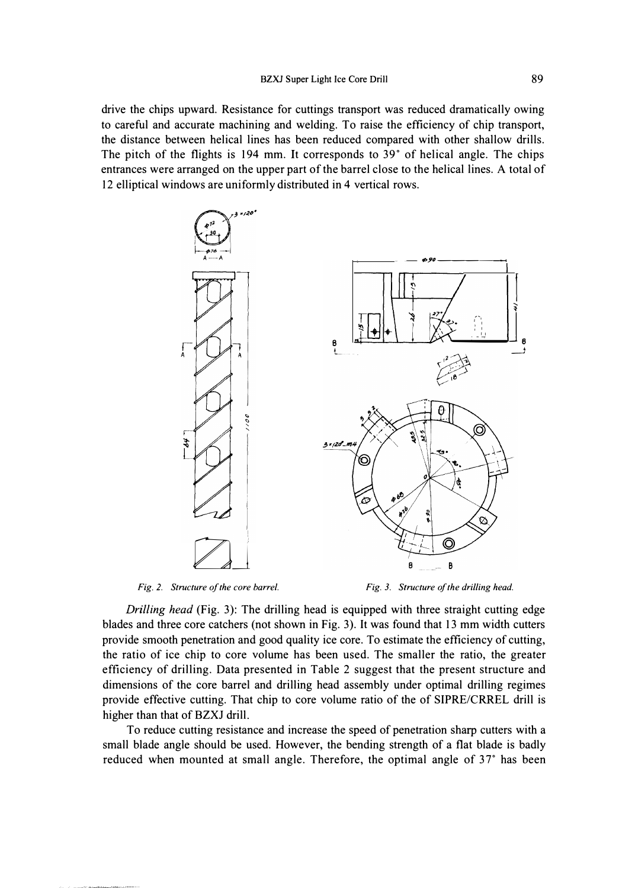drive the chips upward. Resistance for cuttings transport was reduced dramatically owing to careful and accurate machining and welding. To raise the efficiency of chip transport, the distance between helical lines has been reduced compared with other shallow drills. The pitch of the flights is 194 mm. It corresponds to 39° of helical angle. The chips entrances were arranged on the upper part of the barrel close to the helical lines. A total of 12 elliptical windows are uniformly distributed in 4 vertical rows.



*Fig. 2. Structure of the core barrel.* 

*Fig. 3. Structure of the drilling head.* 

*Drilling head* (Fig. 3): The drilling head is equipped with three straight cutting edge blades and three core catchers (not shown in Fig. 3). It was found that 13 mm width cutters provide smooth penetration and good quality ice core. To estimate the efficiency of cutting, the ratio of ice chip to core volume has been used. The smaller the ratio, the greater efficiency of drilling. Data presented in Table 2 suggest that the present structure and dimensions of the core barrel and drilling head assembly under optimal drilling regimes provide effective cutting. That chip to core volume ratio of the of SIPRE/CRREL drill is higher than that of BZXJ drill.

To reduce cutting resistance and increase the speed of penetration sharp cutters with a small blade angle should be used. However, the bending strength of a flat blade is badly reduced when mounted at small angle. Therefore, the optimal angle of 37° has been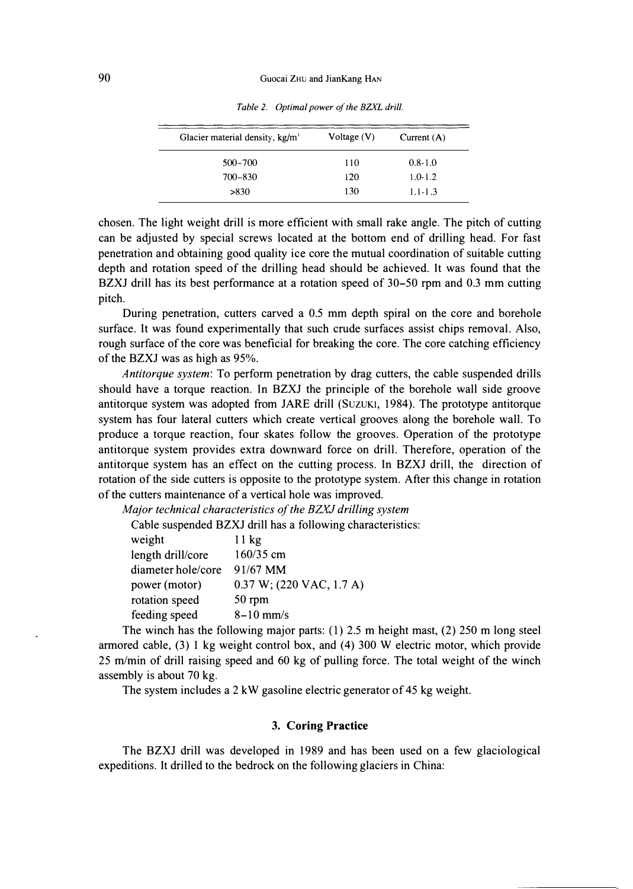| Glacier material density, $kg/m3$ | Voltage $(V)$ | Current $(A)$ |
|-----------------------------------|---------------|---------------|
| $500 - 700$                       | 110           | $0.8 - 1.0$   |
| $700 - 830$                       | 120           | $1.0 - 1.2$   |
| >830                              | 130           | $1.1 - 1.3$   |

*Table 2. Optimal power of the BZXL drill.* 

chosen. The light weight drill is more efficient with small rake angle. The pitch of cutting can be adjusted by special screws located at the bottom end of drilling head. For fast penetration and obtaining good quality ice core the mutual coordination of suitable cutting depth and rotation speed of the drilling head should be achieved. It was found that the BZXJ drill has its best performance at a rotation speed of 30-50 rpm and 0.3 mm cutting pitch.

During penetration, cutters carved a 0.5 mm depth spiral on the core and borehole surface. It was found experimentally that such crude surfaces assist chips removal. Also, rough surface of the core was beneficial for breaking the core. The core catching efficiency of the BZXJ was as high as 95%.

*Antitorque system:* To perform penetration by drag cutters, the cable suspended drills should have a torque reaction. In BZXJ the principle of the borehole wall side groove antitorque system was adopted from JARE drill (SUZUKI, 1984). The prototype antitorque system has four lateral cutters which create vertical grooves along the borehole wall. To produce a torque reaction, four skates follow the grooves. Operation of the prototype antitorque system provides extra downward force on drill. Therefore, operation of the antitorque system has an effect on the cutting process. In BZXJ drill, the direction of rotation of the side cutters is opposite to the prototype system. After this change in rotation of the cutters maintenance of a vertical hole was improved.

*Major technical characteristics of the BZXJ drilling system* 

Cable suspended BZXJ drill has a following characteristics:

| weight             | 11 kg                       |
|--------------------|-----------------------------|
| length drill/core  | 160/35 cm                   |
| diameter hole/core | 91/67 MM                    |
| power (motor)      | $0.37 W$ ; (220 VAC, 1.7 A) |
| rotation speed     | 50 rpm                      |
| feeding speed      | $8-10$ mm/s                 |

The winch has the following major parts: (1) 2.5 m height mast, (2) 250 m long steel armored cable, (3) 1 kg weight control box, and (4) 300 W electric motor, which provide 25 m/min of drill raising speed and 60 kg of pulling force. The total weight of the winch assembly is about 70 kg.

The system includes a 2 kW gasoline electric generator of 45 kg weight.

## **3. Coring Practice**

The BZXJ drill was developed in 1989 and has been used on a few glaciological expeditions. It drilled to the bedrock on the following glaciers in China: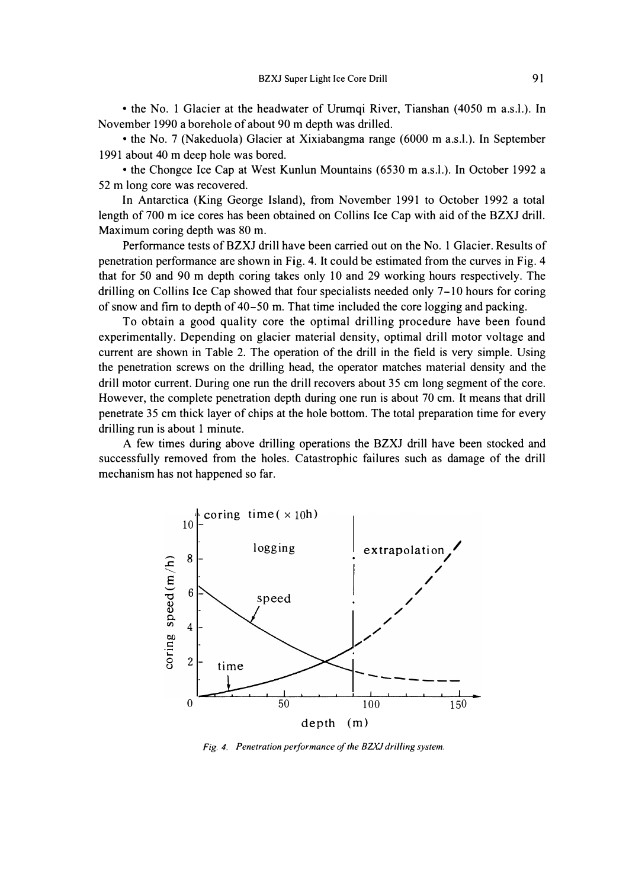• the No. 1 Glacier at the headwater of Urumqi River, Tianshan (4050 m a.s.l.). In November 1990 a borehole of about 90 m depth was drilled.

• the No. 7 (Nakeduola) Glacier at Xixiabangma range (6000 m a.s.l.). In September 1991 about 40 m deep hole was bored.

• the Chongce Ice Cap at West Kunlun Mountains (6530 m a.s.l.). In October 1992 a 52 m long core was recovered.

In Antarctica (King George Island), from November 1991 to October 1992 a total length of 700 m ice cores has been obtained on Collins Ice Cap with aid of the BZXJ drill. Maximum coring depth was 80 m.

Performance tests of BZXJ drill have been carried out on the No. 1 Glacier. Results of penetration performance are shown in Fig. 4. It could be estimated from the curves in Fig. 4 that for 50 and 90 m depth coring takes only 10 and 29 working hours respectively. The drilling on Collins Ice Cap showed that four specialists needed only 7-10 hours for coring of snow and fim to depth of 40-50 m. That time included the core logging and packing.

To obtain a good quality core the optimal drilling procedure have been found experimentally. Depending on glacier material density, optimal drill motor voltage and current are shown in Table 2. The operation of the drill in the field is very simple. Using the penetration screws on the drilling head, the operator matches material density and the drill motor current. During one run the drill recovers about 35 cm long segment of the core. However, the complete penetration depth during one run is about 70 cm. It means that drill penetrate 35 cm thick layer of chips at the hole bottom. The total preparation time for every drilling run is about 1 minute.

A few times during above drilling operations the BZXJ drill have been stocked and successfully removed from the holes. Catastrophic failures such as damage of the drill mechanism has not happened so far.



*Fig. 4. Penetration performance of the BZXJ drilling system.*